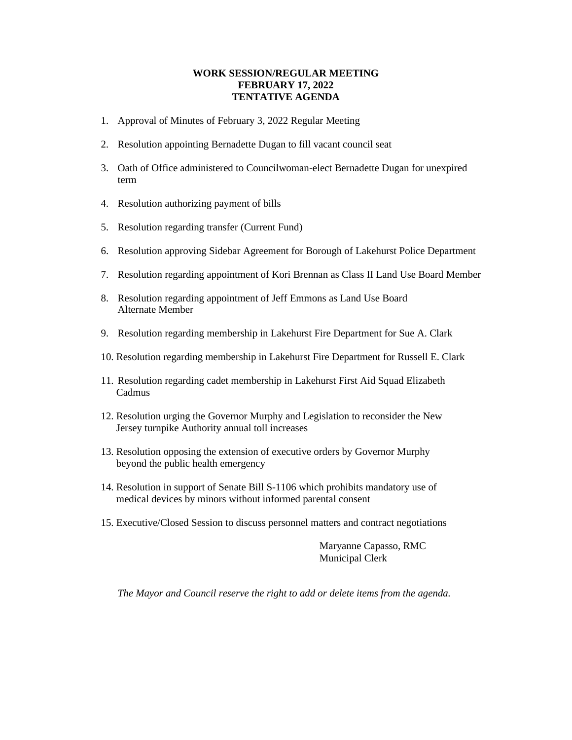#### **WORK SESSION/REGULAR MEETING FEBRUARY 17, 2022 TENTATIVE AGENDA**

- 1. Approval of Minutes of February 3, 2022 Regular Meeting
- 2. Resolution appointing Bernadette Dugan to fill vacant council seat
- 3. Oath of Office administered to Councilwoman-elect Bernadette Dugan for unexpired term
- 4. Resolution authorizing payment of bills
- 5. Resolution regarding transfer (Current Fund)
- 6. Resolution approving Sidebar Agreement for Borough of Lakehurst Police Department
- 7. Resolution regarding appointment of Kori Brennan as Class II Land Use Board Member
- 8. Resolution regarding appointment of Jeff Emmons as Land Use Board Alternate Member
- 9. Resolution regarding membership in Lakehurst Fire Department for Sue A. Clark
- 10. Resolution regarding membership in Lakehurst Fire Department for Russell E. Clark
- 11. Resolution regarding cadet membership in Lakehurst First Aid Squad Elizabeth Cadmus
- 12. Resolution urging the Governor Murphy and Legislation to reconsider the New Jersey turnpike Authority annual toll increases
- 13. Resolution opposing the extension of executive orders by Governor Murphy beyond the public health emergency
- 14. Resolution in support of Senate Bill S-1106 which prohibits mandatory use of medical devices by minors without informed parental consent
- 15. Executive/Closed Session to discuss personnel matters and contract negotiations

Maryanne Capasso, RMC Municipal Clerk

*The Mayor and Council reserve the right to add or delete items from the agenda.*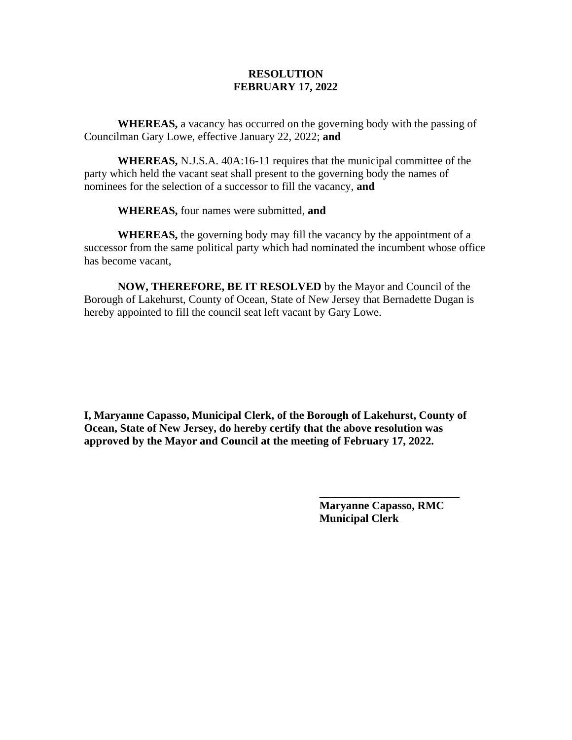**WHEREAS,** a vacancy has occurred on the governing body with the passing of Councilman Gary Lowe, effective January 22, 2022; **and**

**WHEREAS,** N.J.S.A. 40A:16-11 requires that the municipal committee of the party which held the vacant seat shall present to the governing body the names of nominees for the selection of a successor to fill the vacancy, **and**

**WHEREAS,** four names were submitted, **and**

**WHEREAS,** the governing body may fill the vacancy by the appointment of a successor from the same political party which had nominated the incumbent whose office has become vacant,

**NOW, THEREFORE, BE IT RESOLVED** by the Mayor and Council of the Borough of Lakehurst, County of Ocean, State of New Jersey that Bernadette Dugan is hereby appointed to fill the council seat left vacant by Gary Lowe.

**I, Maryanne Capasso, Municipal Clerk, of the Borough of Lakehurst, County of Ocean, State of New Jersey, do hereby certify that the above resolution was approved by the Mayor and Council at the meeting of February 17, 2022.**

> **Maryanne Capasso, RMC Municipal Clerk**

**\_\_\_\_\_\_\_\_\_\_\_\_\_\_\_\_\_\_\_\_\_\_\_\_\_**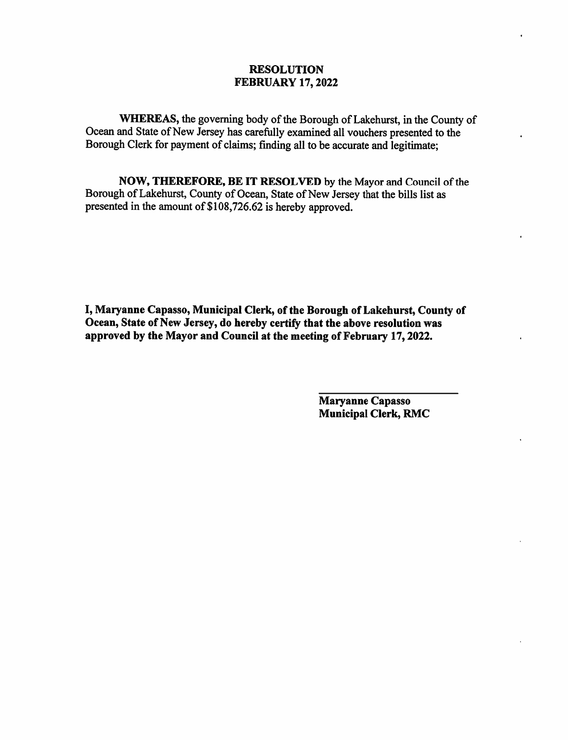WHEREAS, the governing body of the Borough of Lakehurst, in the County of Ocean and State of New Jersey has carefully examined all vouchers presented to the Borough Clerk for payment of claims; finding all to be accurate and legitimate;

NOW, THEREFORE, BE IT RESOLVED by the Mayor and Council of the Borough of Lakehurst, County of Ocean, State of New Jersey that the bills list as presented in the amount of \$108,726.62 is hereby approved.

I, Maryanne Capasso, Municipal Clerk, of the Borough of Lakehurst, County of Ocean, State of New Jersey, do hereby certify that the above resolution was approved by the Mayor and Council at the meeting of February 17, 2022.

> Maryanne Capasso **Municipal Clerk, RMC**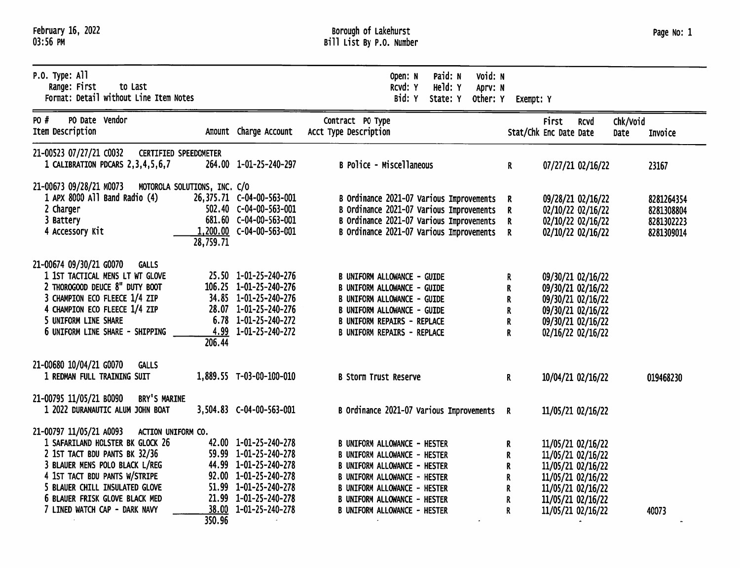| February 16, 2022 |  |
|-------------------|--|
| 03:56 PM          |  |

| $P.0.$ Type: All<br>Range: First<br>to Last<br>Format: Detail without Line Item Notes                                                                                                                                                                                                      |                                           |                                                                                                                                                                             | Paid: N<br>Void: N<br>Open: N<br>Held: Y<br>RCVd: Y<br>Aprv: N<br>Bid: Y<br>State: Y<br>Other: Y                                                                                                                                                                              | Exempt: Y                       |                                                                                                                                                 |             |                  |                                                      |
|--------------------------------------------------------------------------------------------------------------------------------------------------------------------------------------------------------------------------------------------------------------------------------------------|-------------------------------------------|-----------------------------------------------------------------------------------------------------------------------------------------------------------------------------|-------------------------------------------------------------------------------------------------------------------------------------------------------------------------------------------------------------------------------------------------------------------------------|---------------------------------|-------------------------------------------------------------------------------------------------------------------------------------------------|-------------|------------------|------------------------------------------------------|
| PO Date Vendor<br>PO #<br>Item Description                                                                                                                                                                                                                                                 |                                           | Amount Charge Account                                                                                                                                                       | Contract PO Type<br>Acct Type Description                                                                                                                                                                                                                                     |                                 | <b>First</b><br>Stat/Chk Enc Date Date                                                                                                          | <b>RCVd</b> | Chk/Void<br>Date | Invoice                                              |
| 21-00523 07/27/21 C0032<br><b>CERTIFIED SPEEDOMETER</b><br>1 CALIBRATION PDCARS 2, 3, 4, 5, 6, 7                                                                                                                                                                                           |                                           | 264.00 1-01-25-240-297                                                                                                                                                      | <b>B Police - Miscellaneous</b>                                                                                                                                                                                                                                               | $\mathbf{R}$                    | 07/27/21 02/16/22                                                                                                                               |             |                  | 23167                                                |
| 21-00673 09/28/21 M0073<br>1 APX 8000 All Band Radio (4)<br>2 Charger<br>3 Battery<br>4 Accessory Kit                                                                                                                                                                                      | MOTOROLA SOLUTIONS, INC. C/O<br>28,759.71 | 502.40 C-04-00-563-001<br>681.60 C-04-00-563-001<br>1,200.00 C-04-00-563-001                                                                                                | B Ordinance 2021-07 Various Improvements R<br>B Ordinance 2021-07 Various Improvements R<br>B Ordinance 2021-07 Various Improvements R<br>B Ordinance 2021-07 Various Improvements R                                                                                          |                                 | 09/28/21 02/16/22<br>02/10/22 02/16/22<br>02/10/22 02/16/22<br>02/10/22 02/16/22                                                                |             |                  | 8281264354<br>8281308804<br>8281302223<br>8281309014 |
| 21-00674 09/30/21 G0070<br><b>GALLS</b><br>1 1ST TACTICAL MENS LT WT GLOVE<br>2 THOROGOOD DEUCE 8" DUTY BOOT<br>3 CHAMPION ECO FLEECE 1/4 ZIP<br>4 CHAMPION ECO FLEECE 1/4 ZIP<br>5 UNIFORM LINE SHARE<br>6 UNIFORM LINE SHARE - SHIPPING                                                  | 206.44                                    | 25.50 1-01-25-240-276<br>106.25 1-01-25-240-276<br>34.85 1-01-25-240-276<br>28.07 1-01-25-240-276<br>$6.78$ 1-01-25-240-272<br>4.99 1-01-25-240-272                         | <b>B UNIFORM ALLOWANCE - GUIDE</b><br><b>B UNIFORM ALLOWANCE - GUIDE</b><br><b>B UNIFORM ALLOWANCE - GUIDE</b><br><b>B UNIFORM ALLOWANCE - GUIDE</b><br><b>B UNIFORM REPAIRS - REPLACE</b><br><b>B UNIFORM REPAIRS - REPLACE</b>                                              | R.<br>R<br>R<br>R<br>R<br>R     | 09/30/21 02/16/22<br>09/30/21 02/16/22<br>09/30/21 02/16/22<br>09/30/21 02/16/22<br>09/30/21 02/16/22<br>02/16/22 02/16/22                      |             |                  |                                                      |
| 21-00680 10/04/21 G0070<br>GALLS<br>1 REDMAN FULL TRAINING SUIT                                                                                                                                                                                                                            |                                           | 1,889.55 T-03-00-100-010                                                                                                                                                    | <b>B Storm Trust Reserve</b>                                                                                                                                                                                                                                                  | $\mathbf{R}$                    | 10/04/21 02/16/22                                                                                                                               |             |                  | 019468230                                            |
| 21-00795 11/05/21 B0090<br>BRY'S MARINE<br>1 2022 DURANAUTIC ALUM JOHN BOAT                                                                                                                                                                                                                |                                           | 3,504.83 C-04-00-563-001                                                                                                                                                    | B Ordinance 2021-07 Various Improvements R                                                                                                                                                                                                                                    |                                 | 11/05/21 02/16/22                                                                                                                               |             |                  |                                                      |
| 21-00797 11/05/21 A0093<br>ACTION UNIFORM CO.<br>1 SAFARILAND HOLSTER BK GLOCK 26<br>2 1ST TACT BDU PANTS BK 32/36<br>3 BLAUER MENS POLO BLACK L/REG<br>4 1ST TACT BDU PANTS W/STRIPE<br>5 BLAUER CHILL INSULATED GLOVE<br>6 BLAUER FRISK GLOVE BLACK MED<br>7 LINED WATCH CAP - DARK NAVY | 350.96                                    | 42.00 1-01-25-240-278<br>59.99 1-01-25-240-278<br>44.99 1-01-25-240-278<br>92.00 1-01-25-240-278<br>51.99 1-01-25-240-278<br>21.99 1-01-25-240-278<br>38.00 1-01-25-240-278 | <b>B UNIFORM ALLOWANCE - HESTER</b><br><b>B UNIFORM ALLOWANCE - HESTER</b><br><b>B UNIFORM ALLOWANCE - HESTER</b><br><b>B UNIFORM ALLOWANCE - HESTER</b><br><b>B UNIFORM ALLOWANCE - HESTER</b><br><b>B UNIFORM ALLOWANCE - HESTER</b><br><b>B UNIFORM ALLOWANCE - HESTER</b> | R<br>R<br>R<br>R<br>R<br>R<br>R | 11/05/21 02/16/22<br>11/05/21 02/16/22<br>11/05/21 02/16/22<br>11/05/21 02/16/22<br>11/05/21 02/16/22<br>11/05/21 02/16/22<br>11/05/21 02/16/22 |             |                  | 40073                                                |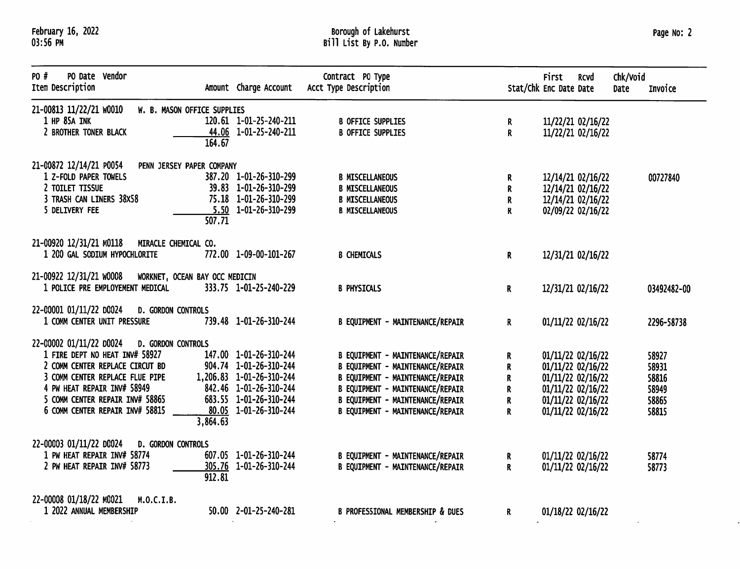# Borough of Lakehurst<br>Bill List By P.O. Number

 $\ddot{\phantom{a}}$ 

 $\omega$ 

| PO Date Vendor<br>PO #<br>Item Description                                                                                                                                                                                                                                    | Amount Charge Account                                                                                                                                     | Contract PO Type<br>Acct Type Description                                                                                                                                                                                                               |                                                          | <b>First</b><br>Stat/Chk Enc Date Date                                                                                     | <b>RCVd</b> | Chk/void<br><b>Date</b> | Invoice                                            |
|-------------------------------------------------------------------------------------------------------------------------------------------------------------------------------------------------------------------------------------------------------------------------------|-----------------------------------------------------------------------------------------------------------------------------------------------------------|---------------------------------------------------------------------------------------------------------------------------------------------------------------------------------------------------------------------------------------------------------|----------------------------------------------------------|----------------------------------------------------------------------------------------------------------------------------|-------------|-------------------------|----------------------------------------------------|
| 21-00813 11/22/21 W0010<br>W. B. MASON OFFICE SUPPLIES<br>1 HP 85A INK<br>2 BROTHER TONER BLACK<br>164.67                                                                                                                                                                     | 120.61 1-01-25-240-211<br>44.06 1-01-25-240-211                                                                                                           | <b>B OFFICE SUPPLIES</b><br><b>B OFFICE SUPPLIES</b>                                                                                                                                                                                                    | R.<br>R                                                  | 11/22/21 02/16/22<br>11/22/21 02/16/22                                                                                     |             |                         |                                                    |
| 21-00872 12/14/21 P0054<br>PENN JERSEY PAPER COMPANY<br>1 Z-FOLD PAPER TOWELS<br>2 TOILET TISSUE<br>3 TRASH CAN LINERS 38X58<br>5 DELIVERY FEE<br>507.71                                                                                                                      | 387.20 1-01-26-310-299<br>39.83 1-01-26-310-299<br>75.18 1-01-26-310-299<br>$5.50$ 1-01-26-310-299                                                        | <b>B MISCELLANEOUS</b><br><b>B MISCELLANEOUS</b><br><b>B MISCELLANEOUS</b><br><b>B MISCELLANEOUS</b>                                                                                                                                                    | R<br>R<br>R<br>$\mathbf{R}$                              | 12/14/21 02/16/22<br>12/14/21 02/16/22<br>12/14/21 02/16/22<br>02/09/22 02/16/22                                           |             |                         | 00727840                                           |
| 21-00920 12/31/21 M0118 MIRACLE CHEMICAL CO.<br>1 200 GAL SODIUM HYPOCHLORITE                                                                                                                                                                                                 | 772.00 1-09-00-101-267                                                                                                                                    | <b>B CHEMICALS</b>                                                                                                                                                                                                                                      | R.                                                       | 12/31/21 02/16/22                                                                                                          |             |                         |                                                    |
| 21-00922 12/31/21 W0008 WORKNET, OCEAN BAY OCC MEDICIN<br>1 POLICE PRE EMPLOYEMENT MEDICAL                                                                                                                                                                                    | 333.75 1-01-25-240-229                                                                                                                                    | <b>B PHYSICALS</b>                                                                                                                                                                                                                                      | R.                                                       | 12/31/21 02/16/22                                                                                                          |             |                         | 03492482-00                                        |
| 22-00001 01/11/22 D0024<br><b>D. GORDON CONTROLS</b><br>1 COMM CENTER UNIT PRESSURE                                                                                                                                                                                           | 739.48 1-01-26-310-244                                                                                                                                    | <b>B EQUIPMENT - MAINTENANCE/REPAIR</b>                                                                                                                                                                                                                 | $\mathbf{R}$                                             | 01/11/22 02/16/22                                                                                                          |             |                         | 2296-58738                                         |
| 22-00002 01/11/22 00024<br><b>D. GORDON CONTROLS</b><br>1 FIRE DEPT NO HEAT INV# 58927<br>2 COMM CENTER REPLACE CIRCUT BD<br>3 COMM CENTER REPLACE FLUE PIPE<br>4 PW HEAT REPAIR INV# 58949<br>5 COMM CENTER REPAIR INV# 58865<br>6 COMM CENTER REPAIR INV# 58815<br>3,864.63 | 147.00 1-01-26-310-244<br>904.74 1-01-26-310-244<br>1,206.83 1-01-26-310-244<br>842.46 1-01-26-310-244<br>683.55 1-01-26-310-244<br>80.05 1-01-26-310-244 | <b>B EQUIPMENT - MAINTENANCE/REPAIR</b><br><b>B EQUIPMENT - MAINTENANCE/REPAIR</b><br><b>B EQUIPMENT - MAINTENANCE/REPAIR</b><br>B EQUIPMENT - MAINTENANCE/REPAIR<br><b>B EQUIPMENT - MAINTENANCE/REPAIR</b><br><b>B EQUIPMENT - MAINTENANCE/REPAIR</b> | R.<br>R<br>R<br>${\bf R}$<br>$\mathbf R$<br>$\mathbf{R}$ | 01/11/22 02/16/22<br>01/11/22 02/16/22<br>01/11/22 02/16/22<br>01/11/22 02/16/22<br>01/11/22 02/16/22<br>01/11/22 02/16/22 |             |                         | 58927<br>58931<br>58816<br>58949<br>58865<br>58815 |
| 22-00003 01/11/22 D0024<br>D. GORDON CONTROLS<br>1 PW HEAT REPAIR INV# 58774<br>2 PW HEAT REPAIR INV# 58773<br>912.81                                                                                                                                                         | 607.05 1-01-26-310-244<br>305.76 1-01-26-310-244                                                                                                          | B EQUIPMENT - MAINTENANCE/REPAIR<br>B EQUIPMENT - MAINTENANCE/REPAIR                                                                                                                                                                                    | R<br>$\mathbf{R}$                                        | 01/11/22 02/16/22<br>01/11/22 02/16/22                                                                                     |             |                         | 58774<br>58773                                     |
| 22-00008 01/18/22 M0021<br>M.O.C.I.B.<br>1 2022 ANNUAL MEMBERSHIP                                                                                                                                                                                                             | 50.00 2-01-25-240-281                                                                                                                                     | <b>B PROFESSIONAL MEMBERSHIP &amp; DUES</b>                                                                                                                                                                                                             | $\mathbf{R}$                                             | 01/18/22 02/16/22                                                                                                          |             |                         |                                                    |

 $\sim$   $\sim$ 

 $\sim$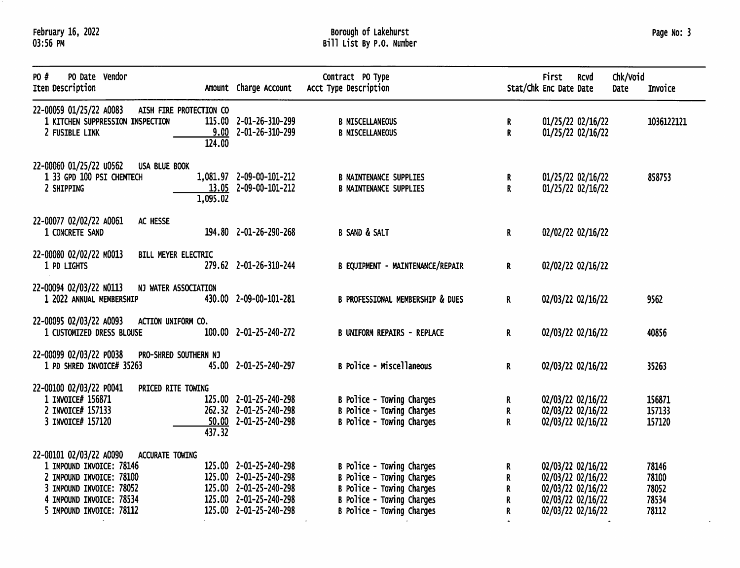# Borough of Lakehurst<br>Bill List By P.O. Number

 $\omega$ 

| PO #<br>PO Date Vendor<br>Item Description                                                                                                                                             | Amount Charge Account                                                                                                          | Contract PO Type<br>Acct Type Description                                                                                                            | Stat/Chk Enc Date Date | <b>First</b>                                                                                          | <b>RCVd</b> | Chk/Void<br><b>Date</b> | Invoice                                   |
|----------------------------------------------------------------------------------------------------------------------------------------------------------------------------------------|--------------------------------------------------------------------------------------------------------------------------------|------------------------------------------------------------------------------------------------------------------------------------------------------|------------------------|-------------------------------------------------------------------------------------------------------|-------------|-------------------------|-------------------------------------------|
| 22-00059 01/25/22 A0083<br>AISH FIRE PROTECTION CO<br>1 KITCHEN SUPPRESSION INSPECTION<br>2 FUSIBLE LINK<br>124.00                                                                     | 115.00 2-01-26-310-299<br>$9.00$ 2-01-26-310-299                                                                               | <b>B MISCELLANEOUS</b><br><b>B MISCELLANEOUS</b>                                                                                                     | R<br>R                 | 01/25/22 02/16/22<br>01/25/22 02/16/22                                                                |             |                         | 1036122121                                |
| 22-00060 01/25/22 u0562<br>USA BLUE BOOK<br>1 33 GPD 100 PSI CHEMTECH<br>2 SHIPPING<br>1,095.02                                                                                        | 1,081.97 2-09-00-101-212<br>13.05 2-09-00-101-212                                                                              | <b>B MAINTENANCE SUPPLIES</b><br><b>B MAINTENANCE SUPPLIES</b>                                                                                       | R.<br>R                | 01/25/22 02/16/22<br>01/25/22 02/16/22                                                                |             |                         | 858753                                    |
| 22-00077 02/02/22 A0061<br>AC HESSE<br>1 CONCRETE SAND                                                                                                                                 | 194.80 2-01-26-290-268                                                                                                         | <b>B SAND &amp; SALT</b>                                                                                                                             | R.                     | 02/02/22 02/16/22                                                                                     |             |                         |                                           |
| 22-00080 02/02/22 M0013<br>BILL MEYER ELECTRIC<br>1 PD LIGHTS                                                                                                                          | 279.62 2-01-26-310-244                                                                                                         | B EQUIPMENT - MAINTENANCE/REPAIR                                                                                                                     | $\mathbf R$            | 02/02/22 02/16/22                                                                                     |             |                         |                                           |
| 22-00094 02/03/22 NO113<br>NJ WATER ASSOCIATION<br>1 2022 ANNUAL MEMBERSHIP                                                                                                            | 430.00 2-09-00-101-281                                                                                                         | <b>B PROFESSIONAL MEMBERSHIP &amp; DUES</b>                                                                                                          | R.                     | 02/03/22 02/16/22                                                                                     |             |                         | 9562                                      |
| 22-00095 02/03/22 A0093<br>ACTION UNIFORM CO.<br>1 CUSTOMIZED DRESS BLOUSE                                                                                                             | 100.00 2-01-25-240-272                                                                                                         | <b>B UNIFORM REPAIRS - REPLACE</b>                                                                                                                   | R.                     | 02/03/22 02/16/22                                                                                     |             |                         | 40856                                     |
| 22-00099 02/03/22 P0038<br>PRO-SHRED SOUTHERN NJ<br>1 PD SHRED INVOICE# 35263                                                                                                          | 45.00 2-01-25-240-297                                                                                                          | B Police - Miscellaneous                                                                                                                             | R.                     | 02/03/22 02/16/22                                                                                     |             |                         | 35263                                     |
| 22-00100 02/03/22 P0041<br>PRICED RITE TOWING<br>1 INVOICE# 156871<br>2 INVOICE# 157133<br>3 INVOICE# 157120<br>437.32                                                                 | 125.00 2-01-25-240-298<br>262.32 2-01-25-240-298<br>$50.00$ 2-01-25-240-298                                                    | B Police - Towing Charges<br>B Police - Towing Charges<br><b>B Police - Towing Charges</b>                                                           | R<br>R<br>R            | 02/03/22 02/16/22<br>02/03/22 02/16/22<br>02/03/22 02/16/22                                           |             |                         | 156871<br>157133<br>157120                |
| 22-00101 02/03/22 A0090<br>ACCURATE TOWING<br>1 IMPOUND INVOICE: 78146<br>2 IMPOUND INVOICE: 78100<br>3 IMPOUND INVOICE: 78052<br>4 IMPOUND INVOICE: 78534<br>5 IMPOUND INVOICE: 78112 | 125.00 2-01-25-240-298<br>125.00 2-01-25-240-298<br>125.00 2-01-25-240-298<br>125.00 2-01-25-240-298<br>125.00 2-01-25-240-298 | B Police - Towing Charges<br>B Police - Towing Charges<br>B Police - Towing Charges<br>B Police - Towing Charges<br><b>B Police - Towing Charges</b> | R.<br>R<br>R<br>R<br>R | 02/03/22 02/16/22<br>02/03/22 02/16/22<br>02/03/22 02/16/22<br>02/03/22 02/16/22<br>02/03/22 02/16/22 |             |                         | 78146<br>78100<br>78052<br>78534<br>78112 |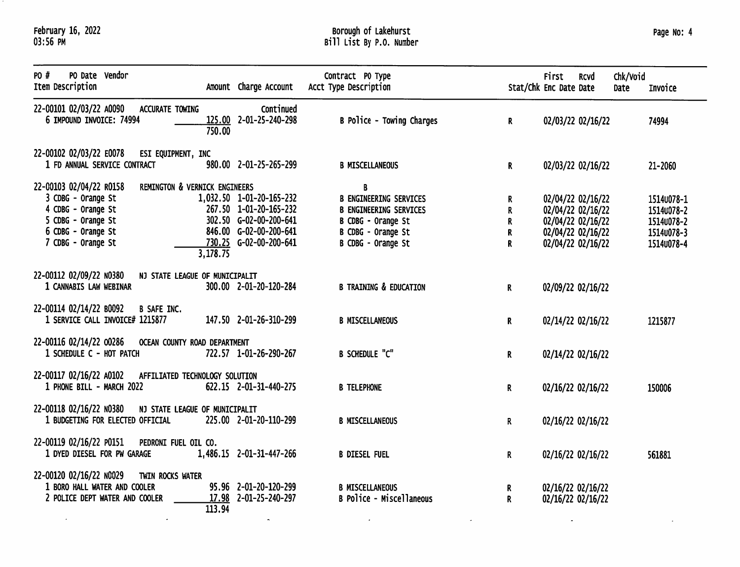$\mathcal{L}_{\mathcal{A}}$ 

 $\sim$ 

 $\langle \rangle$ 

# Borough of Lakehurst<br>Bill List By P.O. Number

| Page No: 4 |  |  |
|------------|--|--|
|------------|--|--|

 $\overline{\mathcal{L}}$ 

| PO #<br>PO Date Vendor<br>Item Description                                                                                            |                                           | Amount Charge Account                                                                                                            | Contract PO Type<br>Acct Type Description                                                                                             |                       | <b>First</b><br>Stat/Chk Enc Date Date | <b>RCVd</b>                                                                                           | Chk/Void<br>Date | Invoice                                                            |
|---------------------------------------------------------------------------------------------------------------------------------------|-------------------------------------------|----------------------------------------------------------------------------------------------------------------------------------|---------------------------------------------------------------------------------------------------------------------------------------|-----------------------|----------------------------------------|-------------------------------------------------------------------------------------------------------|------------------|--------------------------------------------------------------------|
| 22-00101 02/03/22 A0090<br>ACCURATE TOWING<br>6 IMPOUND INVOICE: 74994                                                                | 750.00                                    | Continued<br>125.00 2-01-25-240-298                                                                                              | B Police - Towing Charges                                                                                                             | $\mathbf{R}$          |                                        | 02/03/22 02/16/22                                                                                     |                  | 74994                                                              |
| 22-00102 02/03/22 E0078<br>ESI EQUIPMENT, INC<br>1 FD ANNUAL SERVICE CONTRACT                                                         |                                           | 980.00 2-01-25-265-299                                                                                                           | <b>B MISCELLANEOUS</b>                                                                                                                | $\mathbf{R}$          |                                        | 02/03/22 02/16/22                                                                                     |                  | 21-2060                                                            |
| 22-00103 02/04/22 R0158<br>3 CDBG - Orange St<br>4 CDBG - Orange St<br>5 CDBG - Orange St<br>6 CDBG - Orange St<br>7 CDBG - Orange St | REMINGTON & VERNICK ENGINEERS<br>3,178.75 | 1,032.50 1-01-20-165-232<br>267.50 1-01-20-165-232<br>302.50 G-02-00-200-641<br>846.00 G-02-00-200-641<br>730.25 G-02-00-200-641 | B<br><b>B ENGINEERING SERVICES</b><br><b>B ENGINEERING SERVICES</b><br>B CDBG - Orange St<br>B CDBG - Orange St<br>B CDBG - Orange St | R<br>R<br>R<br>R<br>R |                                        | 02/04/22 02/16/22<br>02/04/22 02/16/22<br>02/04/22 02/16/22<br>02/04/22 02/16/22<br>02/04/22 02/16/22 |                  | 15140078-1<br>15140078-2<br>15140078-2<br>1514∪078-3<br>15140078-4 |
| 22-00112 02/09/22 N0380<br>1 CANNABIS LAW WEBINAR                                                                                     | NJ STATE LEAGUE OF MUNICIPALIT            | 300.00 2-01-20-120-284                                                                                                           | <b>B TRAINING &amp; EDUCATION</b>                                                                                                     | $\mathbf{R}$          |                                        | 02/09/22 02/16/22                                                                                     |                  |                                                                    |
| 22-00114 02/14/22 B0092<br><b>B SAFE INC.</b><br>1 SERVICE CALL INVOICE# 1215877                                                      |                                           | 147.50 2-01-26-310-299                                                                                                           | <b>B MISCELLANEOUS</b>                                                                                                                | R                     |                                        | 02/14/22 02/16/22                                                                                     |                  | 1215877                                                            |
| 22-00116 02/14/22 00286<br>1 SCHEDULE C - HOT PATCH                                                                                   | OCEAN COUNTY ROAD DEPARTMENT              | 722.57 1-01-26-290-267                                                                                                           | <b>B SCHEDULE "C"</b>                                                                                                                 | R                     |                                        | 02/14/22 02/16/22                                                                                     |                  |                                                                    |
| 22-00117 02/16/22 A0102<br>1 PHONE BILL - MARCH 2022                                                                                  | AFFILIATED TECHNOLOGY SOLUTION            | 622.15 2-01-31-440-275                                                                                                           | <b>B TELEPHONE</b>                                                                                                                    | R.                    |                                        | 02/16/22 02/16/22                                                                                     |                  | 150006                                                             |
| 22-00118 02/16/22 N0380<br>1 BUDGETING FOR ELECTED OFFICIAL                                                                           | NJ STATE LEAGUE OF MUNICIPALIT            | 225.00 2-01-20-110-299                                                                                                           | <b>B MISCELLANEOUS</b>                                                                                                                | R.                    |                                        | 02/16/22 02/16/22                                                                                     |                  |                                                                    |
| 22-00119 02/16/22 P0151<br>PEDRONI FUEL OIL CO.<br>1 DYED DIESEL FOR PW GARAGE                                                        |                                           | 1,486.15 2-01-31-447-266                                                                                                         | <b>B DIESEL FUEL</b>                                                                                                                  | R.                    |                                        | 02/16/22 02/16/22                                                                                     |                  | 561881                                                             |
| 22-00120 02/16/22 NO029<br>TWIN ROCKS WATER<br>1 BORO HALL WATER AND COOLER<br>2 POLICE DEPT WATER AND COOLER                         | 113.94                                    | 95.96 2-01-20-120-299<br>17.98 2-01-25-240-297                                                                                   | <b>B MISCELLANEOUS</b><br>B Police - Miscellaneous                                                                                    | R.<br>$\mathbf{R}$    |                                        | 02/16/22 02/16/22<br>02/16/22 02/16/22                                                                |                  |                                                                    |

 $\sim$ 

 $\mathcal{A}^{\pm}$ 

 $\sim$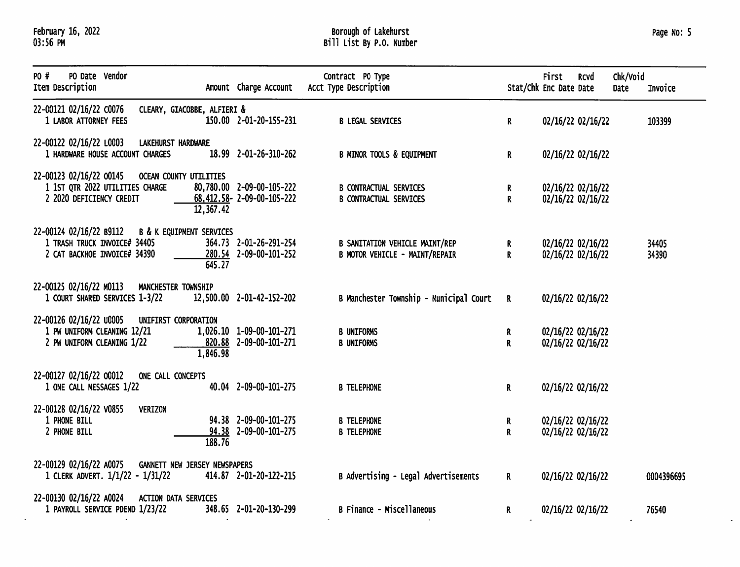# Borough of Lakehurst<br>Bill List By P.O. Number

 $\mathcal{L}^{\pm}$ 

| PO #<br>PO Date Vendor<br>Item Description                                                                       |                                  | Amount Charge Account                                              | Contract PO Type<br>Acct Type Description                               |                    | First<br>Stat/Chk Enc Date Date | <b>RCVd</b>                            | Chk/Void<br>Date | Invoice        |
|------------------------------------------------------------------------------------------------------------------|----------------------------------|--------------------------------------------------------------------|-------------------------------------------------------------------------|--------------------|---------------------------------|----------------------------------------|------------------|----------------|
| 22-00121 02/16/22 C0076<br>1 LABOR ATTORNEY FEES                                                                 | CLEARY, GIACOBBE, ALFIERI &      | 150.00 2-01-20-155-231                                             | <b>B LEGAL SERVICES</b>                                                 | $\mathbf{R}$       |                                 | 02/16/22 02/16/22                      |                  | 103399         |
| 22-00122 02/16/22 L0003 LAKEHURST HARDWARE<br>1 HARDWARE HOUSE ACCOUNT CHARGES                                   |                                  | 18.99 2-01-26-310-262                                              | <b>B MINOR TOOLS &amp; EQUIPMENT</b>                                    | R                  |                                 | 02/16/22 02/16/22                      |                  |                |
| 22-00123 02/16/22 00145 OCEAN COUNTY UTILITIES<br>1 1ST QTR 2022 UTILITIES CHARGE<br>2 2020 DEFICIENCY CREDIT    | 12,367.42                        | 80,780.00 2-09-00-105-222<br>$68,412.58 - 2 - 09 - 00 - 105 - 222$ | <b>B CONTRACTUAL SERVICES</b><br><b>B CONTRACTUAL SERVICES</b>          | R.<br>$\mathsf{R}$ |                                 | 02/16/22 02/16/22<br>02/16/22 02/16/22 |                  |                |
| 22-00124 02/16/22 B9112 B & K EQUIPMENT SERVICES<br>1 TRASH TRUCK INVOICE# 34405<br>2 CAT BACKHOE INVOICE# 34390 | 645.27                           | 364.73 2-01-26-291-254<br>280.54 2-09-00-101-252                   | <b>B SANITATION VEHICLE MAINT/REP</b><br>B MOTOR VEHICLE - MAINT/REPAIR | R<br>$\mathbf{R}$  |                                 | 02/16/22 02/16/22<br>02/16/22 02/16/22 |                  | 34405<br>34390 |
| 22-00125 02/16/22 M0113<br>1 COURT SHARED SERVICES 1-3/22                                                        | MANCHESTER TOWNSHIP              | 12,500.00 2-01-42-152-202                                          | B Manchester Township - Municipal Court                                 | $\mathbf{R}$       |                                 | 02/16/22 02/16/22                      |                  |                |
| 22-00126 02/16/22 00005<br>1 PW UNIFORM CLEANING 12/21<br>2 PW UNIFORM CLEANING 1/22                             | UNIFIRST CORPORATION<br>1,846.98 | 1,026.10 1-09-00-101-271<br>820.88 2-09-00-101-271                 | <b>B UNIFORMS</b><br><b>B UNIFORMS</b>                                  | R<br>R             |                                 | 02/16/22 02/16/22<br>02/16/22 02/16/22 |                  |                |
| 22-00127 02/16/22 00012<br>1 ONE CALL MESSAGES 1/22                                                              | ONE CALL CONCEPTS                | 40.04 2-09-00-101-275                                              | <b>B TELEPHONE</b>                                                      | R                  |                                 | 02/16/22 02/16/22                      |                  |                |
| 22-00128 02/16/22 v0855<br>1 PHONE BILL<br>2 PHONE BILL                                                          | <b>VERIZON</b><br>188.76         | 94.38 2-09-00-101-275<br>94.38 2-09-00-101-275                     | <b>B TELEPHONE</b><br><b>B TELEPHONE</b>                                | R<br>R             |                                 | 02/16/22 02/16/22<br>02/16/22 02/16/22 |                  |                |
| 22-00129 02/16/22 A0075<br>1 CLERK ADVERT. 1/1/22 - 1/31/22                                                      | GANNETT NEW JERSEY NEWSPAPERS    | 414.87 2-01-20-122-215                                             | B Advertising - Legal Advertisements                                    | R                  |                                 | 02/16/22 02/16/22                      |                  | 0004396695     |
| 22-00130 02/16/22 A0024 ACTION DATA SERVICES<br>1 PAYROLL SERVICE PDEND 1/23/22                                  |                                  | 348.65 2-01-20-130-299                                             | <b>B Finance - Miscellaneous</b>                                        | R.                 |                                 | 02/16/22 02/16/22                      |                  | 76540          |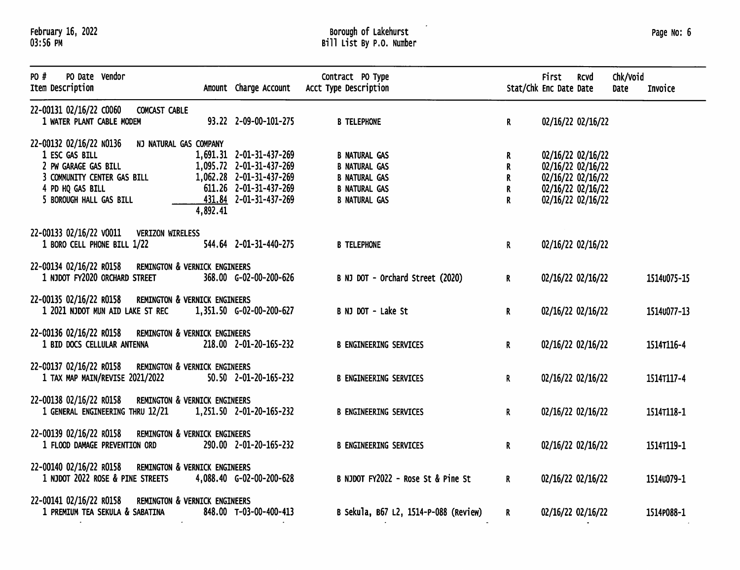## Borough of Lakehurst<br>Bill List By P.O. Number

 $\epsilon$ 

### Page No: 6

| PO #<br>PO Date Vendor<br>Item Description                            | Amount Charge Account    | Contract PO Type<br>Acct Type Description |                  | First<br>Stat/Chk Enc Date Date | <b>RCVd</b>       | Chk/Void<br>Date | Invoice     |
|-----------------------------------------------------------------------|--------------------------|-------------------------------------------|------------------|---------------------------------|-------------------|------------------|-------------|
| 22-00131 02/16/22 C0060<br>COMCAST CABLE<br>1 WATER PLANT CABLE MODEM | 93.22 2-09-00-101-275    | <b>B TELEPHONE</b>                        | $\mathbf{R}$     |                                 | 02/16/22 02/16/22 |                  |             |
|                                                                       |                          |                                           |                  |                                 |                   |                  |             |
| 22-00132 02/16/22 NO136<br>NJ NATURAL GAS COMPANY<br>1 ESC GAS BILL   | 1,691.31 2-01-31-437-269 | <b>B NATURAL GAS</b>                      |                  |                                 | 02/16/22 02/16/22 |                  |             |
| 2 PW GARAGE GAS BILL                                                  | 1,095.72 2-01-31-437-269 | <b>B NATURAL GAS</b>                      | R<br>$\mathbf R$ |                                 |                   |                  |             |
| 3 COMMUNITY CENTER GAS BILL                                           | 1,062.28 2-01-31-437-269 | <b>B NATURAL GAS</b>                      | R                |                                 | 02/16/22 02/16/22 |                  |             |
|                                                                       | 611.26 2-01-31-437-269   |                                           |                  |                                 | 02/16/22 02/16/22 |                  |             |
| 4 PD HQ GAS BILL                                                      |                          | <b>B NATURAL GAS</b>                      | R                |                                 | 02/16/22 02/16/22 |                  |             |
| 5 BOROUGH HALL GAS BILL<br>4,892.41                                   | 431.84 2-01-31-437-269   | <b>B NATURAL GAS</b>                      | R                |                                 | 02/16/22 02/16/22 |                  |             |
| 22-00133 02/16/22 V0011 VERIZON WIRELESS                              |                          |                                           |                  |                                 |                   |                  |             |
| 1 BORO CELL PHONE BILL 1/22                                           | 544.64 2-01-31-440-275   | <b>B TELEPHONE</b>                        | $\mathbf R$      |                                 | 02/16/22 02/16/22 |                  |             |
| 22-00134 02/16/22 R0158<br><b>REMINGTON &amp; VERNICK ENGINEERS</b>   |                          |                                           |                  |                                 |                   |                  |             |
| 1 NJDOT FY2020 ORCHARD STREET                                         | 368.00 G-02-00-200-626   | B NJ DOT - Orchard Street (2020)          | R.               |                                 | 02/16/22 02/16/22 |                  | 15140075-15 |
| 22-00135 02/16/22 R0158 REMINGTON & VERNICK ENGINEERS                 |                          |                                           |                  |                                 |                   |                  |             |
| 1 2021 NJDOT MUN AID LAKE ST REC                                      | 1,351.50 G-02-00-200-627 | B NJ DOT - Lake St                        | $\mathbf R$      |                                 | 02/16/22 02/16/22 |                  | 1514u077-13 |
| 22-00136 02/16/22 R0158<br><b>REMINGTON &amp; VERNICK ENGINEERS</b>   |                          |                                           |                  |                                 |                   |                  |             |
| 1 BID DOCS CELLULAR ANTENNA                                           | 218.00 2-01-20-165-232   | <b>B ENGINEERING SERVICES</b>             | $\mathbf{R}$     |                                 | 02/16/22 02/16/22 |                  | 1514T116-4  |
| 22-00137 02/16/22 R0158<br><b>REMINGTON &amp; VERNICK ENGINEERS</b>   |                          |                                           |                  |                                 |                   |                  |             |
| 1 TAX MAP MAIN/REVISE 2021/2022                                       | 50.50 2-01-20-165-232    | <b>B ENGINEERING SERVICES</b>             | $\mathbf{R}$     |                                 | 02/16/22 02/16/22 |                  | 1514T117-4  |
| 22-00138 02/16/22 R0158<br>REMINGTON & VERNICK ENGINEERS              |                          |                                           |                  |                                 |                   |                  |             |
| 1 GENERAL ENGINEERING THRU 12/21                                      | 1,251.50 2-01-20-165-232 | <b>B ENGINEERING SERVICES</b>             | R                |                                 | 02/16/22 02/16/22 |                  | 15147118-1  |
| 22-00139 02/16/22 R0158<br><b>REMINGTON &amp; VERNICK ENGINEERS</b>   |                          |                                           |                  |                                 |                   |                  |             |
| 1 FLOOD DAMAGE PREVENTION ORD                                         | 290.00 2-01-20-165-232   | <b>B ENGINEERING SERVICES</b>             | $\mathbf{R}$     |                                 | 02/16/22 02/16/22 |                  | 15147119-1  |
| 22-00140 02/16/22 R0158<br><b>REMINGTON &amp; VERNICK ENGINEERS</b>   |                          |                                           |                  |                                 |                   |                  |             |
| 1 NJDOT 2022 ROSE & PINE STREETS                                      | 4,088.40 G-02-00-200-628 | B NJDOT FY2022 - Rose St & Pine St        | R.               |                                 | 02/16/22 02/16/22 |                  | 1514∪079-1  |
| 22-00141 02/16/22 R0158<br>REMINGTON & VERNICK ENGINEERS              |                          |                                           |                  |                                 |                   |                  |             |
| 1 PREMIUM TEA SEKULA & SABATINA                                       | 848.00 T-03-00-400-413   | B Sekula, B67 L2, 1514-P-088 (Review)     | $\mathbf{R}$     |                                 | 02/16/22 02/16/22 |                  | 1514P088-1  |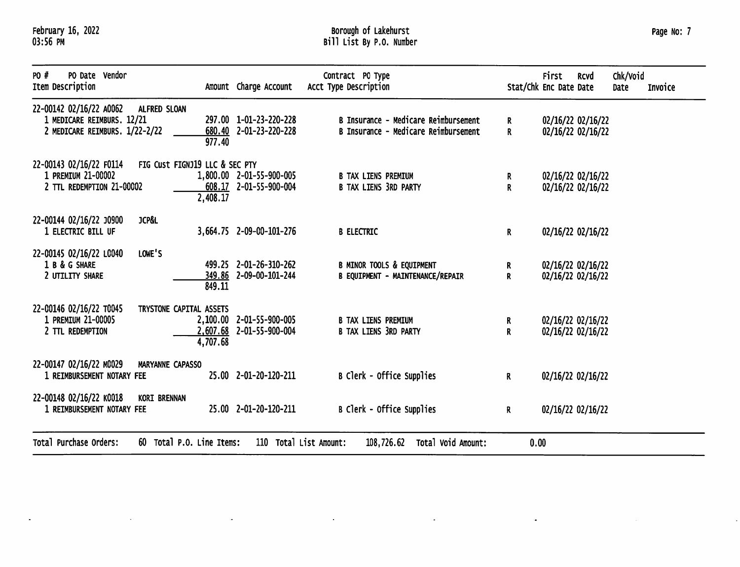$\Delta$ 

 $\mathcal{A}$ 

 $\sim$ 

## Borough of Lakehurst<br>Bill List By P.O. Number

|  | Page No: |  |  |  | 7 |
|--|----------|--|--|--|---|
|--|----------|--|--|--|---|

 $\bar{\beta}$ 

| PO #<br>PO Date Vendor<br>Item Description                                              |                                            | Amount Charge Account                                | Contract PO Type<br>Acct Type Description                                       | Stat/Chk Enc Date Date | <b>First</b> | Rcvd                                   | Chk/Void<br>Date | Invoice |
|-----------------------------------------------------------------------------------------|--------------------------------------------|------------------------------------------------------|---------------------------------------------------------------------------------|------------------------|--------------|----------------------------------------|------------------|---------|
| 22-00142 02/16/22 A0062<br>1 MEDICARE REIMBURS. 12/21<br>2 MEDICARE REIMBURS. 1/22-2/22 | ALFRED SLOAN<br>680.40<br>977.40           | 297.00 1-01-23-220-228<br>2-01-23-220-228            | B Insurance - Medicare Reimbursement<br>B Insurance - Medicare Reimbursement    | R<br>R.                |              | 02/16/22 02/16/22<br>02/16/22 02/16/22 |                  |         |
| 22-00143 02/16/22 F0114<br>1 PREMIUM 21-00002<br>2 TTL REDEMPTION 21-00002              | FIG Cust FIGNJ19 LLC & SEC PTY<br>2,408.17 | 1,800.00 2-01-55-900-005<br>608.17 2-01-55-900-004   | <b>B TAX LIENS PREMIUM</b><br><b>B TAX LIENS 3RD PARTY</b>                      | R.<br>R                |              | 02/16/22 02/16/22<br>02/16/22 02/16/22 |                  |         |
| 22-00144 02/16/22 00900<br>1 ELECTRIC BILL UF                                           | <b>JCP&amp;L</b>                           | 3,664.75 2-09-00-101-276                             | <b>B ELECTRIC</b>                                                               | R                      |              | 02/16/22 02/16/22                      |                  |         |
| 22-00145 02/16/22 L0040<br>1 B & G SHARE<br>2 UTILITY SHARE                             | LOWE'S<br>849.11                           | 499.25 2-01-26-310-262<br>349.86 2-09-00-101-244     | <b>B MINOR TOOLS &amp; EQUIPMENT</b><br><b>B EQUIPMENT - MAINTENANCE/REPAIR</b> | R<br>R                 |              | 02/16/22 02/16/22<br>02/16/22 02/16/22 |                  |         |
| 22-00146 02/16/22 T0045<br>1 PREMIUM 21-00005<br>2 TTL REDEMPTION                       | TRYSTONE CAPITAL ASSETS<br>4,707.68        | 2,100.00 2-01-55-900-005<br>2,607.68 2-01-55-900-004 | <b>B TAX LIENS PREMIUM</b><br><b>B TAX LIENS 3RD PARTY</b>                      | R.<br>R                |              | 02/16/22 02/16/22<br>02/16/22 02/16/22 |                  |         |
| 22-00147 02/16/22 M0029<br>1 REIMBURSEMENT NOTARY FEE                                   | MARYANNE CAPASSO                           | 25.00 2-01-20-120-211                                | B Clerk - Office Supplies                                                       | R.                     |              | 02/16/22 02/16/22                      |                  |         |
| 22-00148 02/16/22 K0018<br>1 REIMBURSEMENT NOTARY FEE                                   | <b>KORI BRENNAN</b>                        | 25.00 2-01-20-120-211                                | B Clerk - Office Supplies                                                       | R.                     |              | 02/16/22 02/16/22                      |                  |         |
| Total Purchase Orders:                                                                  | 60 Total P.O. Line Items:                  | 110 Total List Amount:                               | Total Void Amount:<br>108,726.62                                                | 0.00                   |              |                                        |                  |         |

 $\sim$ 

 $\sim$ 

 $\mathbf{A}^{\text{max}}$ 

 $\sim$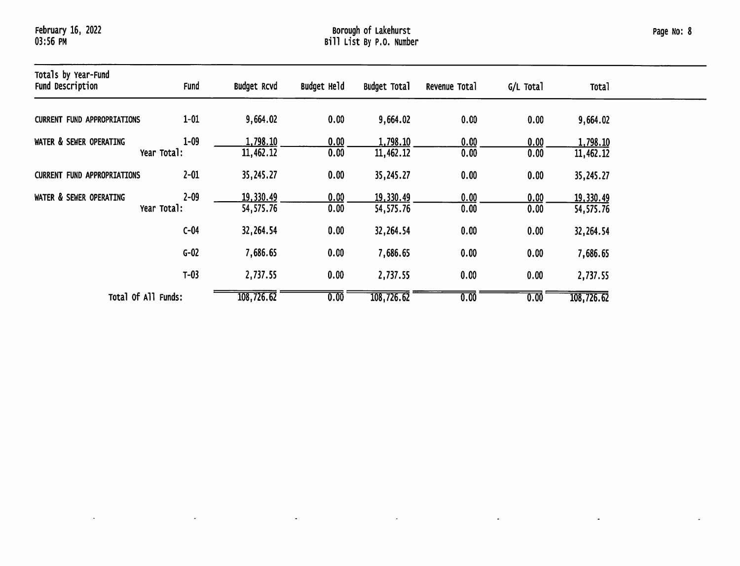$\sim$ 

 $\langle \bullet \rangle$ 

 $\omega$ 

 $\mathcal{L}$ 

 $\star$  .

 $\bullet$ 

 $\hat{\mathbf{z}}$ 

| Totals by Year-Fund<br><b>Fund Description</b> | Fund                    | <b>Budget Rcvd</b>     | Budget Held       | <b>Budget Total</b>     | Revenue Total | G/L Total    | Tota <sup>1</sup>      |  |
|------------------------------------------------|-------------------------|------------------------|-------------------|-------------------------|---------------|--------------|------------------------|--|
| <b>CURRENT FUND APPROPRIATIONS</b>             | $1 - 01$                | 9,664.02               | 0.00              | 9,664.02                | 0.00          | 0.00         | 9,664.02               |  |
| WATER & SEWER OPERATING                        | $1 - 09$<br>Year Total: | 1,798.10<br>11,462.12  | 0.00<br>0.00      | 1,798.10<br>11,462.12   | 0.00<br>0.00  | 0.00<br>0.00 | 1,798.10<br>11,462.12  |  |
| <b>CURRENT FUND APPROPRIATIONS</b>             | $2 - 01$                | 35,245.27              | 0.00              | 35,245.27               | 0.00          | 0.00         | 35,245.27              |  |
| WATER & SEWER OPERATING                        | $2 - 09$<br>Year Total: | 19,330.49<br>54,575.76 | 0.00<br>0.00      | 19,330.49<br>54,575.76  | 0.00<br>0.00  | 0.00<br>0.00 | 19,330.49<br>54,575.76 |  |
|                                                | $C-04$                  | 32,264.54              | 0.00              | 32,264.54               | 0.00          | 0.00         | 32,264.54              |  |
|                                                | $G-02$                  | 7,686.65               | 0.00              | 7,686.65                | 0.00          | 0.00         | 7,686.65               |  |
|                                                | $T-03$                  | 2,737.55               | 0.00              | 2,737.55                | 0.00          | 0.00         | 2,737.55               |  |
| Total Of All Funds:                            |                         | 108,726.62             | $\overline{0.00}$ | $\overline{108,726.62}$ | 0.00          | 0.00         | 108,726.62             |  |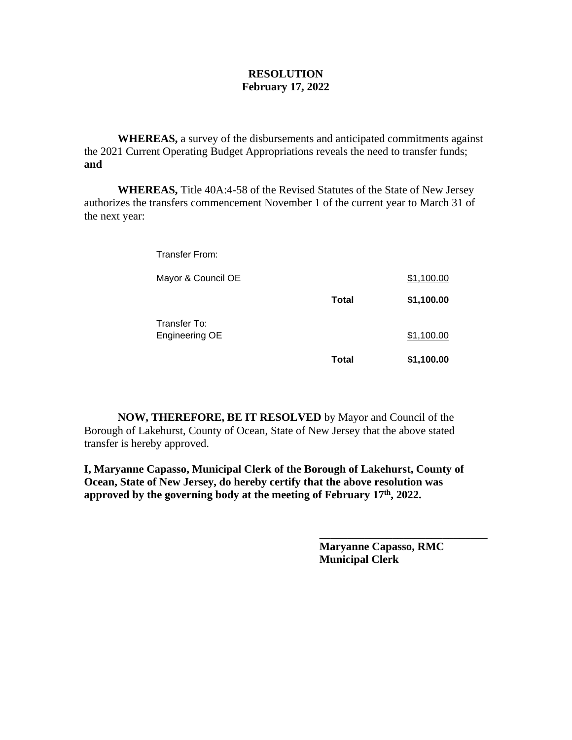#### **RESOLUTION February 17, 2022**

**WHEREAS,** a survey of the disbursements and anticipated commitments against the 2021 Current Operating Budget Appropriations reveals the need to transfer funds; **and**

**WHEREAS,** Title 40A:4-58 of the Revised Statutes of the State of New Jersey authorizes the transfers commencement November 1 of the current year to March 31 of the next year:

Transfer From:

| Mayor & Council OE             |       | \$1,100.00 |
|--------------------------------|-------|------------|
|                                | Total | \$1,100.00 |
| Transfer To:<br>Engineering OE |       | \$1,100.00 |
|                                | Total | \$1,100.00 |

**NOW, THEREFORE, BE IT RESOLVED** by Mayor and Council of the Borough of Lakehurst, County of Ocean, State of New Jersey that the above stated transfer is hereby approved.

**I, Maryanne Capasso, Municipal Clerk of the Borough of Lakehurst, County of Ocean, State of New Jersey, do hereby certify that the above resolution was approved by the governing body at the meeting of February 17th, 2022.**

> **Maryanne Capasso, RMC Municipal Clerk**

\_\_\_\_\_\_\_\_\_\_\_\_\_\_\_\_\_\_\_\_\_\_\_\_\_\_\_\_\_\_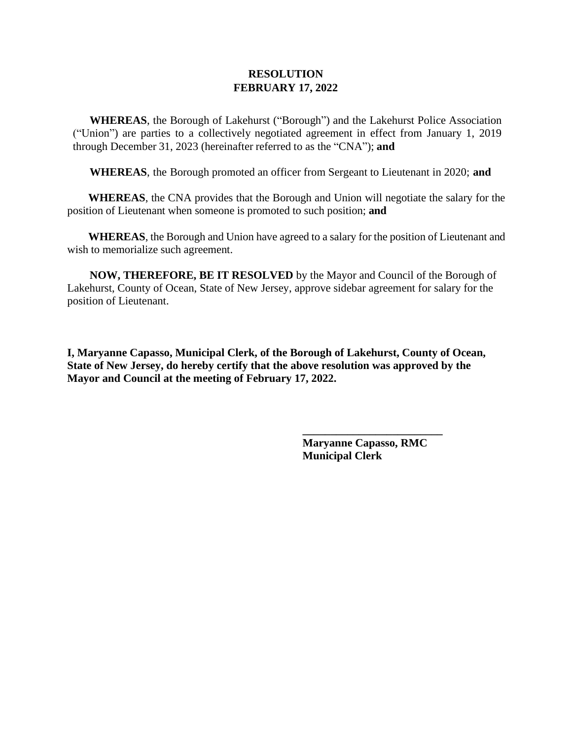**WHEREAS**, the Borough of Lakehurst ("Borough") and the Lakehurst Police Association ("Union") are parties to a collectively negotiated agreement in effect from January 1, 2019 through December 31, 2023 (hereinafter referred to as the "CNA"); **and**

**WHEREAS**, the Borough promoted an officer from Sergeant to Lieutenant in 2020; **and**

**WHEREAS**, the CNA provides that the Borough and Union will negotiate the salary for the position of Lieutenant when someone is promoted to such position; **and**

**WHEREAS**, the Borough and Union have agreed to a salary for the position of Lieutenant and wish to memorialize such agreement.

 **NOW, THEREFORE, BE IT RESOLVED** by the Mayor and Council of the Borough of Lakehurst, County of Ocean, State of New Jersey, approve sidebar agreement for salary for the position of Lieutenant.

**I, Maryanne Capasso, Municipal Clerk, of the Borough of Lakehurst, County of Ocean, State of New Jersey, do hereby certify that the above resolution was approved by the Mayor and Council at the meeting of February 17, 2022.**

> **Maryanne Capasso, RMC Municipal Clerk**

**\_\_\_\_\_\_\_\_\_\_\_\_\_\_\_\_\_\_\_\_\_\_\_\_\_**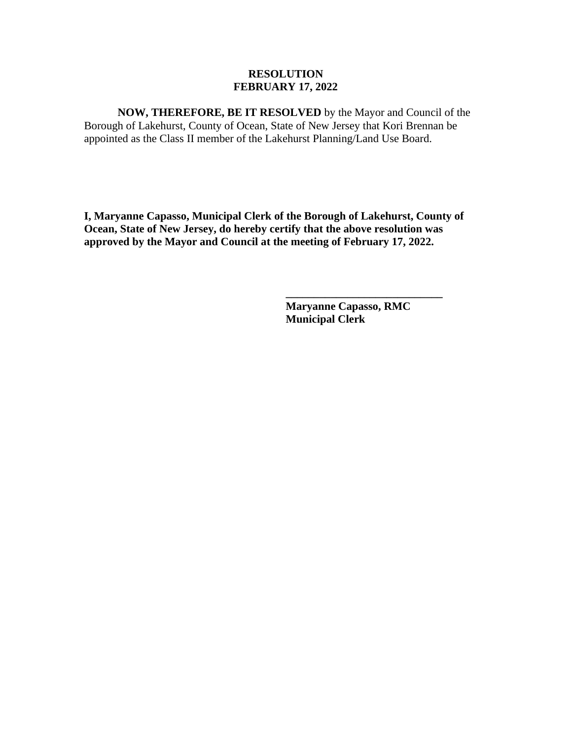**NOW, THEREFORE, BE IT RESOLVED** by the Mayor and Council of the Borough of Lakehurst, County of Ocean, State of New Jersey that Kori Brennan be appointed as the Class II member of the Lakehurst Planning/Land Use Board.

**I, Maryanne Capasso, Municipal Clerk of the Borough of Lakehurst, County of Ocean, State of New Jersey, do hereby certify that the above resolution was approved by the Mayor and Council at the meeting of February 17, 2022.**

> **Maryanne Capasso, RMC Municipal Clerk**

**\_\_\_\_\_\_\_\_\_\_\_\_\_\_\_\_\_\_\_\_\_\_\_\_\_\_\_\_**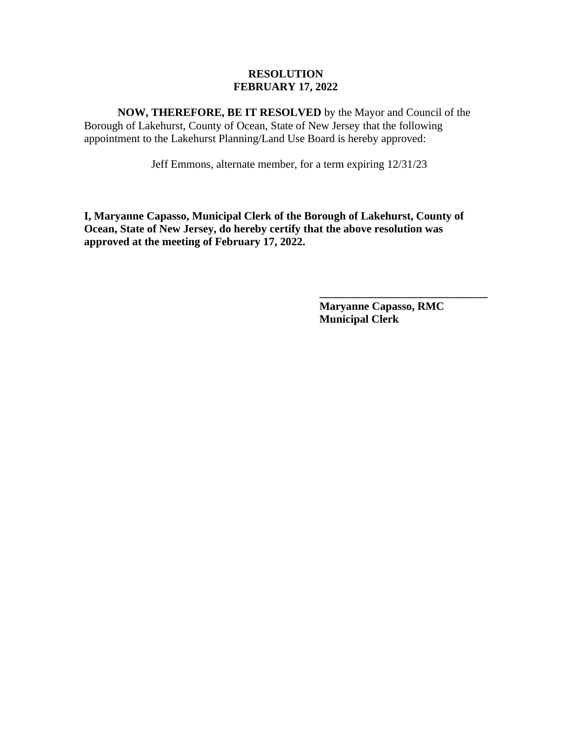**NOW, THEREFORE, BE IT RESOLVED** by the Mayor and Council of the Borough of Lakehurst, County of Ocean, State of New Jersey that the following appointment to the Lakehurst Planning/Land Use Board is hereby approved:

Jeff Emmons, alternate member, for a term expiring 12/31/23

**I, Maryanne Capasso, Municipal Clerk of the Borough of Lakehurst, County of Ocean, State of New Jersey, do hereby certify that the above resolution was approved at the meeting of February 17, 2022.**

> **Maryanne Capasso, RMC Municipal Clerk**

**\_\_\_\_\_\_\_\_\_\_\_\_\_\_\_\_\_\_\_\_\_\_\_\_\_\_\_\_\_\_**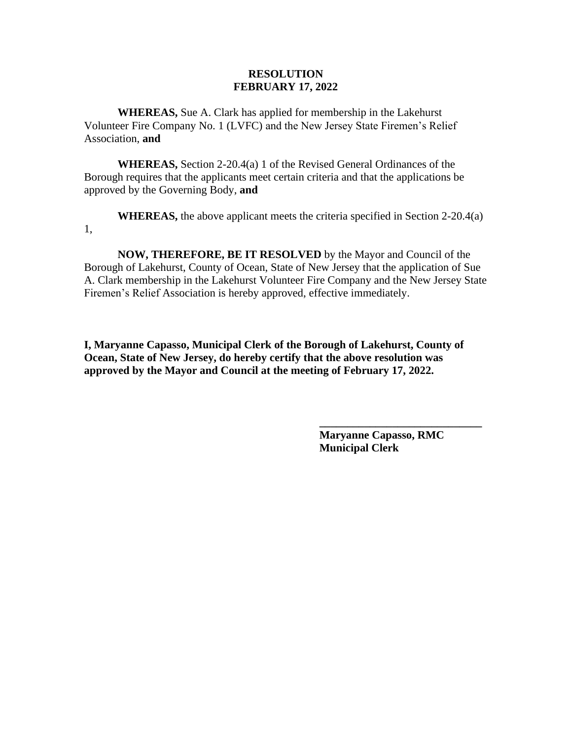**WHEREAS,** Sue A. Clark has applied for membership in the Lakehurst Volunteer Fire Company No. 1 (LVFC) and the New Jersey State Firemen's Relief Association, **and**

**WHEREAS,** Section 2-20.4(a) 1 of the Revised General Ordinances of the Borough requires that the applicants meet certain criteria and that the applications be approved by the Governing Body, **and**

**WHEREAS,** the above applicant meets the criteria specified in Section 2-20.4(a) 1,

**NOW, THEREFORE, BE IT RESOLVED** by the Mayor and Council of the Borough of Lakehurst, County of Ocean, State of New Jersey that the application of Sue A. Clark membership in the Lakehurst Volunteer Fire Company and the New Jersey State Firemen's Relief Association is hereby approved, effective immediately.

**I, Maryanne Capasso, Municipal Clerk of the Borough of Lakehurst, County of Ocean, State of New Jersey, do hereby certify that the above resolution was approved by the Mayor and Council at the meeting of February 17, 2022.**

> **Maryanne Capasso, RMC Municipal Clerk**

**\_\_\_\_\_\_\_\_\_\_\_\_\_\_\_\_\_\_\_\_\_\_\_\_\_\_\_\_\_**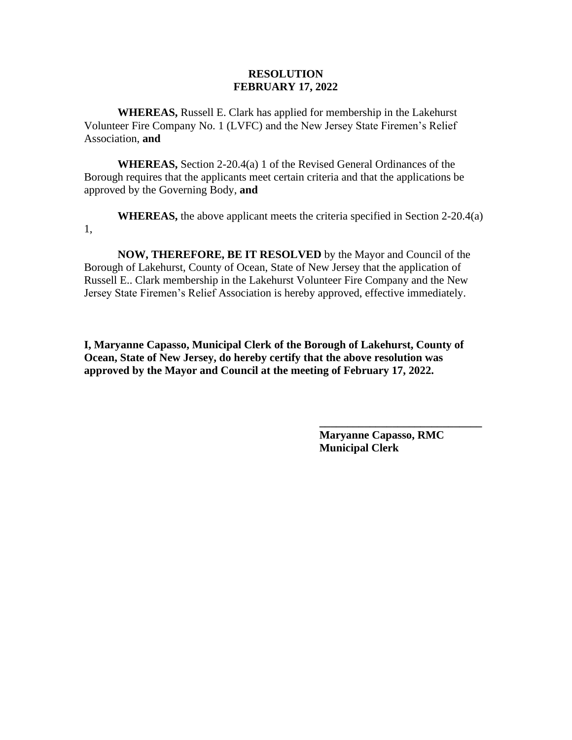**WHEREAS,** Russell E. Clark has applied for membership in the Lakehurst Volunteer Fire Company No. 1 (LVFC) and the New Jersey State Firemen's Relief Association, **and**

**WHEREAS,** Section 2-20.4(a) 1 of the Revised General Ordinances of the Borough requires that the applicants meet certain criteria and that the applications be approved by the Governing Body, **and**

**WHEREAS,** the above applicant meets the criteria specified in Section 2-20.4(a) 1,

**NOW, THEREFORE, BE IT RESOLVED** by the Mayor and Council of the Borough of Lakehurst, County of Ocean, State of New Jersey that the application of Russell E.. Clark membership in the Lakehurst Volunteer Fire Company and the New Jersey State Firemen's Relief Association is hereby approved, effective immediately.

**I, Maryanne Capasso, Municipal Clerk of the Borough of Lakehurst, County of Ocean, State of New Jersey, do hereby certify that the above resolution was approved by the Mayor and Council at the meeting of February 17, 2022.**

> **Maryanne Capasso, RMC Municipal Clerk**

**\_\_\_\_\_\_\_\_\_\_\_\_\_\_\_\_\_\_\_\_\_\_\_\_\_\_\_\_\_**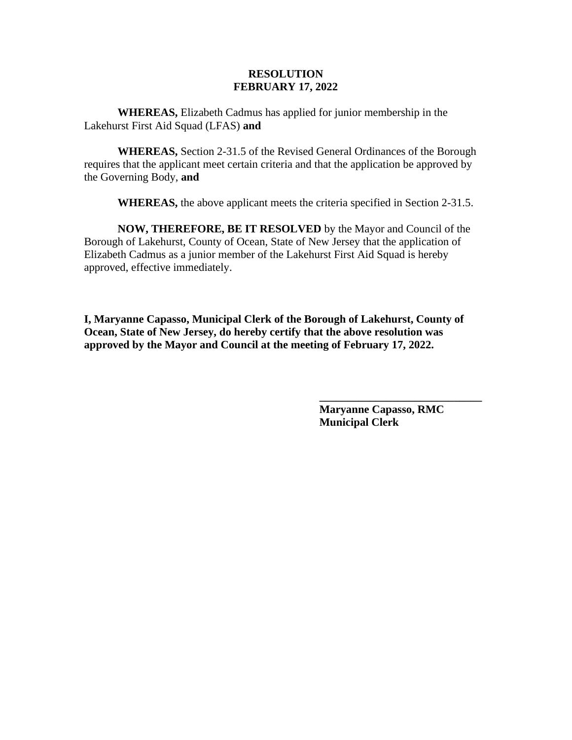**WHEREAS,** Elizabeth Cadmus has applied for junior membership in the Lakehurst First Aid Squad (LFAS) **and**

**WHEREAS,** Section 2-31.5 of the Revised General Ordinances of the Borough requires that the applicant meet certain criteria and that the application be approved by the Governing Body, **and**

**WHEREAS,** the above applicant meets the criteria specified in Section 2-31.5.

**NOW, THEREFORE, BE IT RESOLVED** by the Mayor and Council of the Borough of Lakehurst, County of Ocean, State of New Jersey that the application of Elizabeth Cadmus as a junior member of the Lakehurst First Aid Squad is hereby approved, effective immediately.

**I, Maryanne Capasso, Municipal Clerk of the Borough of Lakehurst, County of Ocean, State of New Jersey, do hereby certify that the above resolution was approved by the Mayor and Council at the meeting of February 17, 2022.**

> **Maryanne Capasso, RMC Municipal Clerk**

**\_\_\_\_\_\_\_\_\_\_\_\_\_\_\_\_\_\_\_\_\_\_\_\_\_\_\_\_\_**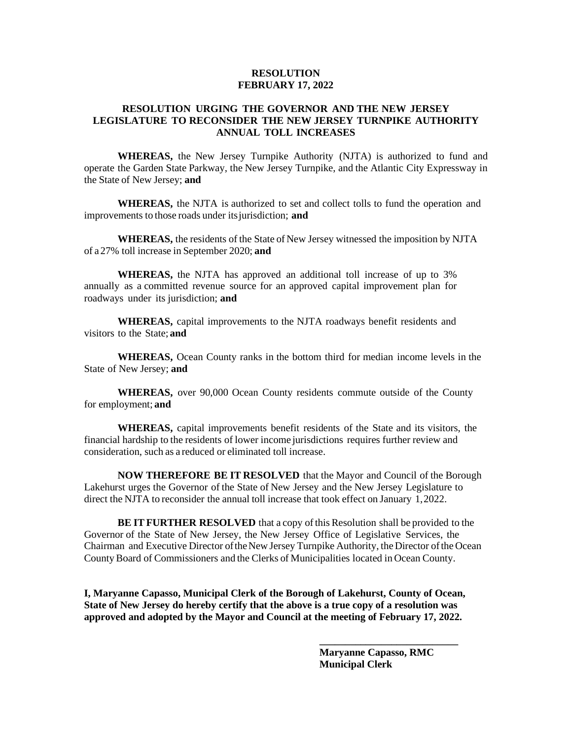#### **RESOLUTION URGING THE GOVERNOR AND THE NEW JERSEY LEGISLATURE TO RECONSIDER THE NEW JERSEY TURNPIKE AUTHORITY ANNUAL TOLL INCREASES**

**WHEREAS,** the New Jersey Turnpike Authority (NJTA) is authorized to fund and operate the Garden State Parkway, the New Jersey Turnpike, and the Atlantic City Expressway in the State of New Jersey; **and**

**WHEREAS,** the NJTA is authorized to set and collect tolls to fund the operation and improvements to those roads under itsjurisdiction; **and**

**WHEREAS,** the residents of the State of New Jersey witnessed the imposition by NJTA of a 27% toll increase in September 2020; **and**

**WHEREAS,** the NJTA has approved an additional toll increase of up to 3% annually as a committed revenue source for an approved capital improvement plan for roadways under its jurisdiction; **and**

**WHEREAS,** capital improvements to the NJTA roadways benefit residents and visitors to the State; **and**

**WHEREAS,** Ocean County ranks in the bottom third for median income levels in the State of New Jersey; **and**

**WHEREAS,** over 90,000 Ocean County residents commute outside of the County for employment; **and**

**WHEREAS,** capital improvements benefit residents of the State and its visitors, the financial hardship to the residents of lower income jurisdictions requires further review and consideration, such as a reduced or eliminated toll increase.

**NOW THEREFORE BE IT RESOLVED** that the Mayor and Council of the Borough Lakehurst urges the Governor of the State of New Jersey and the New Jersey Legislature to direct the NJTA to reconsider the annual toll increase that took effect on January 1,2022.

**BE IT FURTHER RESOLVED** that a copy ofthis Resolution shall be provided to the Governor of the State of New Jersey, the New Jersey Office of Legislative Services, the Chairman and Executive Director of the New Jersey Turnpike Authority, the Director of the Ocean CountyBoard of Commissioners and the Clerks of Municipalities located in Ocean County.

**I, Maryanne Capasso, Municipal Clerk of the Borough of Lakehurst, County of Ocean, State of New Jersey do hereby certify that the above is a true copy of a resolution was approved and adopted by the Mayor and Council at the meeting of February 17, 2022.**

> **Maryanne Capasso, RMC Municipal Clerk**

**\_\_\_\_\_\_\_\_\_\_\_\_\_\_\_\_\_\_\_\_\_\_\_\_\_\_\_**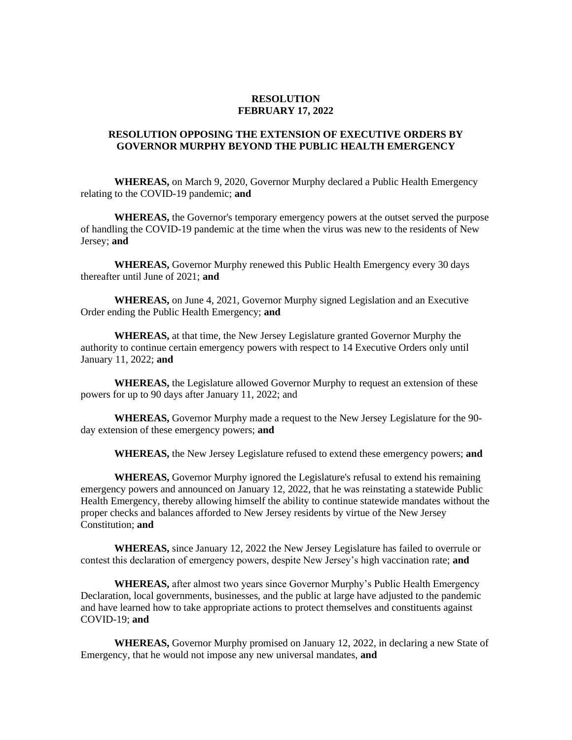#### **RESOLUTION OPPOSING THE EXTENSION OF EXECUTIVE ORDERS BY GOVERNOR MURPHY BEYOND THE PUBLIC HEALTH EMERGENCY**

**WHEREAS,** on March 9, 2020, Governor Murphy declared a Public Health Emergency relating to the COVID-19 pandemic; **and**

**WHEREAS,** the Governor's temporary emergency powers at the outset served the purpose of handling the COVID-19 pandemic at the time when the virus was new to the residents of New Jersey; **and**

**WHEREAS,** Governor Murphy renewed this Public Health Emergency every 30 days thereafter until June of 2021; **and**

**WHEREAS,** on June 4, 2021, Governor Murphy signed Legislation and an Executive Order ending the Public Health Emergency; **and**

**WHEREAS,** at that time, the New Jersey Legislature granted Governor Murphy the authority to continue certain emergency powers with respect to 14 Executive Orders only until January 11, 2022; **and**

**WHEREAS,** the Legislature allowed Governor Murphy to request an extension of these powers for up to 90 days after January 11, 2022; and

**WHEREAS,** Governor Murphy made a request to the New Jersey Legislature for the 90 day extension of these emergency powers; **and**

**WHEREAS,** the New Jersey Legislature refused to extend these emergency powers; **and**

**WHEREAS,** Governor Murphy ignored the Legislature's refusal to extend his remaining emergency powers and announced on January 12, 2022, that he was reinstating a statewide Public Health Emergency, thereby allowing himself the ability to continue statewide mandates without the proper checks and balances afforded to New Jersey residents by virtue of the New Jersey Constitution; **and**

**WHEREAS,** since January 12, 2022 the New Jersey Legislature has failed to overrule or contest this declaration of emergency powers, despite New Jersey's high vaccination rate; **and**

**WHEREAS,** after almost two years since Governor Murphy's Public Health Emergency Declaration, local governments, businesses, and the public at large have adjusted to the pandemic and have learned how to take appropriate actions to protect themselves and constituents against COVID-19; **and**

**WHEREAS,** Governor Murphy promised on January 12, 2022, in declaring a new State of Emergency, that he would not impose any new universal mandates, **and**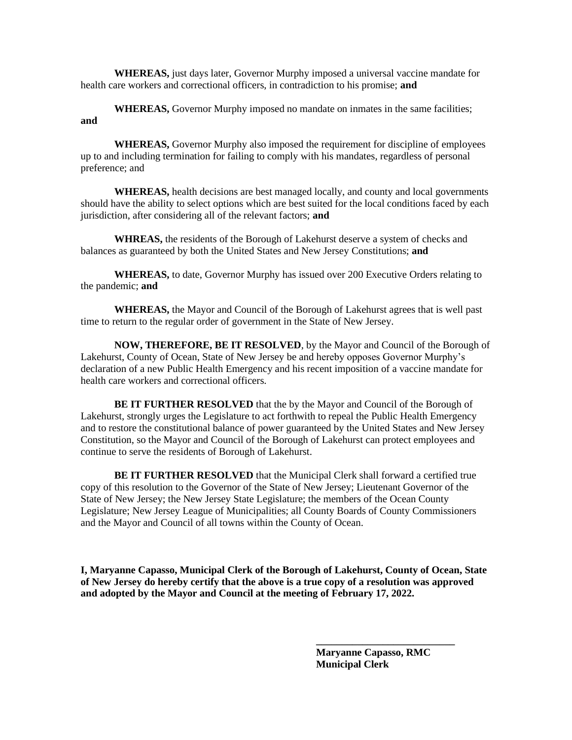**WHEREAS,** just days later, Governor Murphy imposed a universal vaccine mandate for health care workers and correctional officers, in contradiction to his promise; **and**

**WHEREAS,** Governor Murphy imposed no mandate on inmates in the same facilities; **and** 

**WHEREAS,** Governor Murphy also imposed the requirement for discipline of employees up to and including termination for failing to comply with his mandates, regardless of personal preference; and

**WHEREAS,** health decisions are best managed locally, and county and local governments should have the ability to select options which are best suited for the local conditions faced by each jurisdiction, after considering all of the relevant factors; **and** 

**WHREAS,** the residents of the Borough of Lakehurst deserve a system of checks and balances as guaranteed by both the United States and New Jersey Constitutions; **and**

**WHEREAS,** to date, Governor Murphy has issued over 200 Executive Orders relating to the pandemic; **and**

**WHEREAS,** the Mayor and Council of the Borough of Lakehurst agrees that is well past time to return to the regular order of government in the State of New Jersey.

**NOW, THEREFORE, BE IT RESOLVED**, by the Mayor and Council of the Borough of Lakehurst, County of Ocean, State of New Jersey be and hereby opposes Governor Murphy's declaration of a new Public Health Emergency and his recent imposition of a vaccine mandate for health care workers and correctional officers.

**BE IT FURTHER RESOLVED** that the by the Mayor and Council of the Borough of Lakehurst, strongly urges the Legislature to act forthwith to repeal the Public Health Emergency and to restore the constitutional balance of power guaranteed by the United States and New Jersey Constitution, so the Mayor and Council of the Borough of Lakehurst can protect employees and continue to serve the residents of Borough of Lakehurst.

**BE IT FURTHER RESOLVED** that the Municipal Clerk shall forward a certified true copy of this resolution to the Governor of the State of New Jersey; Lieutenant Governor of the State of New Jersey; the New Jersey State Legislature; the members of the Ocean County Legislature; New Jersey League of Municipalities; all County Boards of County Commissioners and the Mayor and Council of all towns within the County of Ocean.

**I, Maryanne Capasso, Municipal Clerk of the Borough of Lakehurst, County of Ocean, State of New Jersey do hereby certify that the above is a true copy of a resolution was approved and adopted by the Mayor and Council at the meeting of February 17, 2022.**

> **Maryanne Capasso, RMC Municipal Clerk**

**\_\_\_\_\_\_\_\_\_\_\_\_\_\_\_\_\_\_\_\_\_\_\_\_\_\_\_**